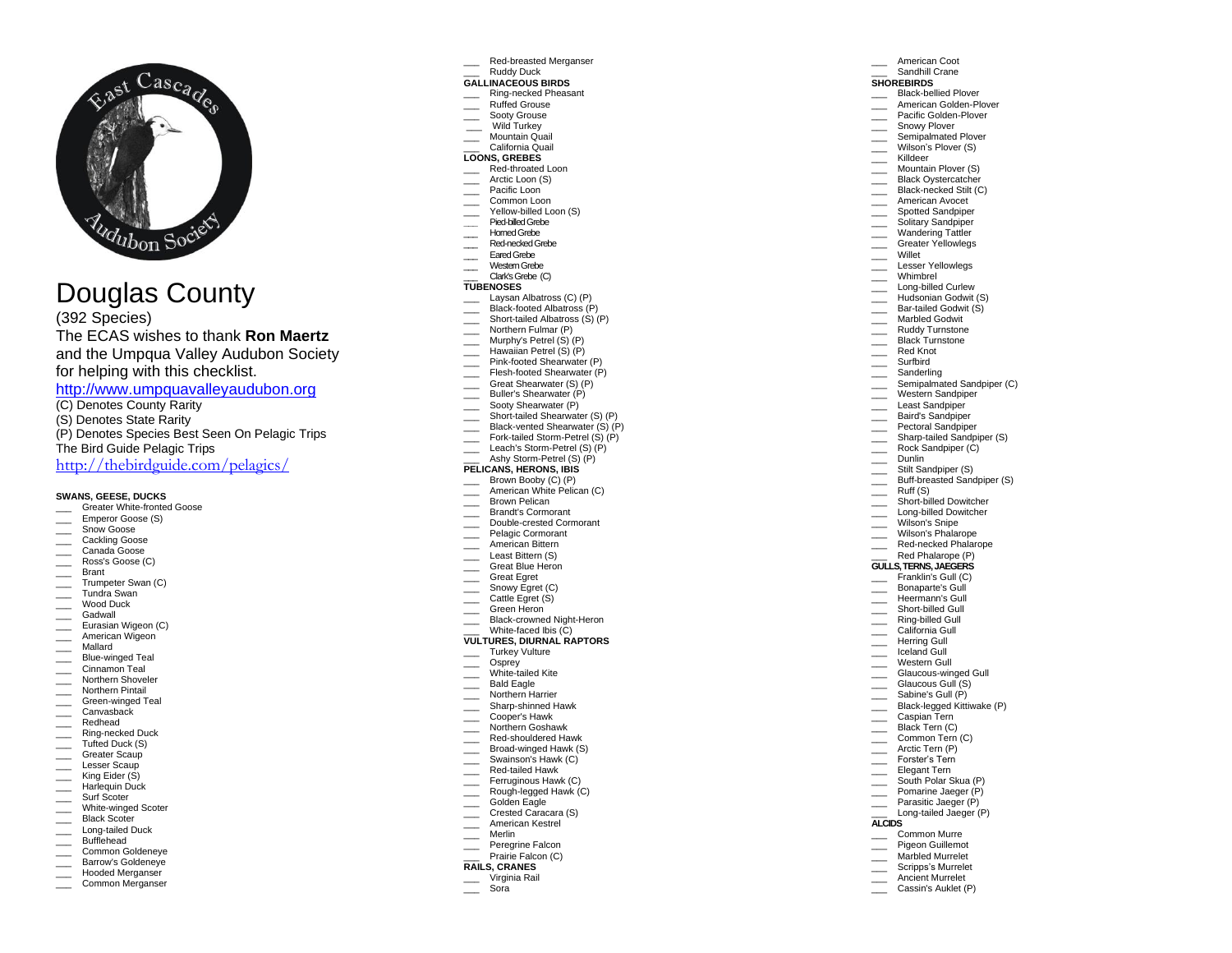

# Douglas County

(3 9 <sup>2</sup> Species) The ECAS wishes to thank **Ron Maertz** and the Umpqua Valley Audubon Society for helping with this checklist.

[http://www.umpquavalleyaudubon.org](http://www.umpquavalleyaudubon.org/) 

- (C) Denotes County Rarity
- (S) Denotes State Rarity (P) Denotes Species Best Seen On Pelagic Trips The Bird Guide Pelagic Trips

<http://thebirdguide.com/pelagics/>

## **SWANS, GEESE, DUCKS**

- \_\_\_ Greater White -fronted Goose
- Emperor Goose (S)
- \_\_\_ Snow Goose
- \_\_\_ Cackling Goose \_\_\_ Canada Goose
- \_\_\_ Ross's Goose (C)
- \_\_\_ Brant
- \_\_\_ Trumpeter Swan (C)
- \_\_\_ Tundra Swan
- \_\_\_ Wood Duck
- \_\_\_ Gadwall
- **Eurasian Wigeon (C)**
- **EXECUTE:** American Wigeon
- \_\_\_ Mallard
- \_\_\_ Blue -winged Teal
- \_\_\_ Cinnamon Teal
- \_\_\_ Northern Shoveler
- \_\_\_ Northern Pintail
- \_\_\_ Green -winged Teal  $\equiv$  Canvasback
- \_\_\_ Redhead
- \_\_\_ Ring -necked Duck
- Tufted Duck (S)
- Greater Scaup
- \_\_\_ Lesser Scaup
- \_\_\_\_ King Eider (S)
- \_\_\_ Harlequin Duck
- \_\_\_ Surf Scoter
- \_\_\_ White -winged Scoter
- \_\_\_ Black Scoter
- \_\_\_ Long -tailed Duck Bufflehead
- 
- Common Goldeneye **EXECUTE:** Barrow's Goldeneye
- Hooded Merganser
- Common Merganser

#### \_\_\_ Red -breasted Merganser \_\_\_ Ruddy Duck

American Coot Sandhill Crane **SHOREBIRDS** \_\_\_ Black -bellied Plover \_\_\_ American Golden-Plover \_\_\_ Pacific Golden-Plover Snowy Plover Semipalmated Plover \_\_\_ Wilson ' s Plover (S) \_\_\_ Killdeer

Mountain Plover (S) Black Oystercatcher \_\_\_ Black -necked Stilt (C) American Avocet Spotted Sandpiper Solitary Sandpiper Wandering Tattler Greater Yellowlegs \_\_\_ Willet Lesser Yellowlegs Whimbrel \_\_\_ Long -billed Curlew Hudsonian Godwit (S) \_\_\_ Bar -tailed Godwit (S) Marbled Godwit Ruddy Turnstone \_\_\_\_ Black Turnstone \_\_\_ Red Knot \_\_\_ Surfbird \_\_\_ Sanderling

Semipalmated Sandpiper (C) Western Sandpiper \_\_\_ Least Sandpiper Baird's Sandpiper Pectoral Sandpiper \_\_\_ Sharp -tailed Sandpiper (S) Rock Sandpiper (C)

\_\_\_ Dunlin

 $\frac{\ }{\ }$  Ruff (S)

Stilt Sandpiper (S) \_\_\_ Buff -breasted Sandpiper (S)

\_\_\_ Short -billed Dowitcher \_\_\_ Long -billed Dowitcher Wilson's Snipe Wilson's Phalarope \_\_\_ Red -necked Phalarope Red Phalarope (P) **GULLS, TERNS, JAEGERS** \_\_\_ Franklin's Gull (C) Bonaparte's Gull Heermann's Gull \_\_\_ Short -billed Gull \_\_\_ Ring -billed Gull California Gull Herring Gull Liceland Gull Western Gull \_\_\_\_ Glaucous-winged Gull \_\_\_ Glaucous Gull (S ) Sabine's Gull (P) \_\_\_ Black -legged Kittiwake (P) \_\_\_ Caspian Tern Black Tern (C) \_\_\_ Common Tern ( C ) Arctic Tern (P) Forster's Tern \_\_\_ Elegant Tern

South Polar Skua (P) Pomarine Jaeger (P) Parasitic Jaeger (P) \_\_\_ Long -tailed Jaeger (P)

\_\_\_ Common Murre Pigeon Guillemot \_\_\_ Marbled Murrelet \_\_\_ Scripps's Mu rrelet Ancient Murrelet Cassin's Auklet (P)

**ALCIDS**

### **GALLINACEOUS BIRDS**

- \_\_\_ Ring -necked Pheasant
- Ruffed Grouse Sooty Grouse
- 
- Wild Turkey<br>Mountain Quail
- California Quail **LOONS, GREBES**

# \_\_\_ Red -throated Loon

- \_\_\_ Arctic Loon (S)
- Pacific Loon
- Common Loon
- \_\_\_ Yellow -billed Loon (S)
- **\_\_\_** Pied -billed Grebe
- Homed Grebe
- \_\_\_ Red -necked Grebe
- Eared Grebe
- Western Grebe \_\_\_ Clark's Grebe(C)

# **TUBENOSES**

- \_\_\_ Laysan Albatross (C) (P)
- \_\_\_ Black -footed Albatross (P)
- \_\_\_ Short -tailed Albatross (S) (P)
- \_\_\_ Northern Fulmar (P)
- \_\_\_ Murphy's Petrel (S) (P)
- \_\_\_ Hawaiian Petrel (S) (P)
- \_\_\_ Pink -footed Shearwater (P)
- \_\_\_ Flesh -footed Shearwater (P)
- \_\_\_ Great Shearwater (S) (P) \_\_\_ Buller's Shearwater (P)
- \_\_\_\_ Sooty Shearwater (P)
- \_\_\_ Short -tailed Shearwater (S) (P)
- \_\_\_ Black -vented Shearwater (S) (P)
- \_\_\_ Fork -tailed Storm -Petrel (S) (P)
- Leach's Storm-Petrel (S) (P)
- \_\_\_ Ashy Storm -Petrel (S) (P)

# **PELICANS, HERONS, IBIS**

- Brown Booby (C) (P)
- **Example 2** American White Pelican (C)
- Brown Pelican
- \_\_\_ Brandt's Cormorant
- \_\_\_ Double -crested Cormorant
- Pelagic Cormorant
- American Bittern
- Least Bittern (S) Great Blue Heron
- 
- \_\_\_ Great Egret
- Snowy Egret (C) \_\_\_ Cattle Egret (S)
- Green Heron
- \_\_\_ Black -crowned Night -Heron
- \_\_\_ White -faced Ibis (C)

#### **VULTURES, DIURNAL RAPTORS**

- \_\_\_ Turkey Vulture
- \_\_\_ Osprey
- \_\_\_ White -tailed Kite
- Bald Eagle
- Northern Harrier
- \_\_\_ Sharp -shinned Hawk
- \_\_\_ Cooper's Hawk Northern Goshawk
- \_\_\_ Red -shouldered Hawk
- \_\_\_ Broad -winged Hawk (S)

Ferruginous Hawk (C) \_\_\_ Rough -legged Hawk (C) Golden Eagle Crested Caracara (S) \_\_\_ American Kestrel \_\_\_ Merlin Peregrine Falcon Prairie Falcon (C) **RAILS, CRANES** \_\_\_ Virginia Rail \_\_\_ Sora

Swainson's Hawk (C) \_\_\_ Red -tailed Hawk